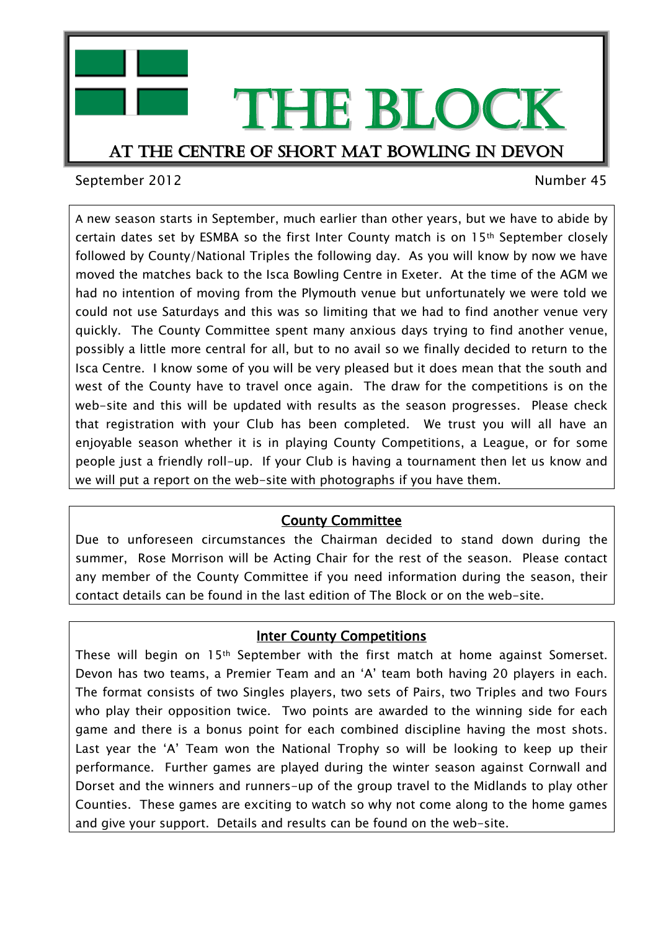

September 2012 and the september 45

A new season starts in September, much earlier than other years, but we have to abide by certain dates set by ESMBA so the first Inter County match is on 15th September closely followed by County/National Triples the following day. As you will know by now we have moved the matches back to the Isca Bowling Centre in Exeter. At the time of the AGM we had no intention of moving from the Plymouth venue but unfortunately we were told we could not use Saturdays and this was so limiting that we had to find another venue very quickly. The County Committee spent many anxious days trying to find another venue, possibly a little more central for all, but to no avail so we finally decided to return to the Isca Centre. I know some of you will be very pleased but it does mean that the south and west of the County have to travel once again. The draw for the competitions is on the web-site and this will be updated with results as the season progresses. Please check that registration with your Club has been completed. We trust you will all have an enjoyable season whether it is in playing County Competitions, a League, or for some people just a friendly roll-up. If your Club is having a tournament then let us know and we will put a report on the web-site with photographs if you have them.

## County Committee

Due to unforeseen circumstances the Chairman decided to stand down during the summer, Rose Morrison will be Acting Chair for the rest of the season. Please contact any member of the County Committee if you need information during the season, their contact details can be found in the last edition of The Block or on the web-site.

## **Inter County Competitions**

These will begin on 15th September with the first match at home against Somerset. Devon has two teams, a Premier Team and an 'A' team both having 20 players in each. The format consists of two Singles players, two sets of Pairs, two Triples and two Fours who play their opposition twice. Two points are awarded to the winning side for each game and there is a bonus point for each combined discipline having the most shots. Last year the 'A' Team won the National Trophy so will be looking to keep up their performance. Further games are played during the winter season against Cornwall and Dorset and the winners and runners-up of the group travel to the Midlands to play other Counties. These games are exciting to watch so why not come along to the home games and give your support. Details and results can be found on the web-site.